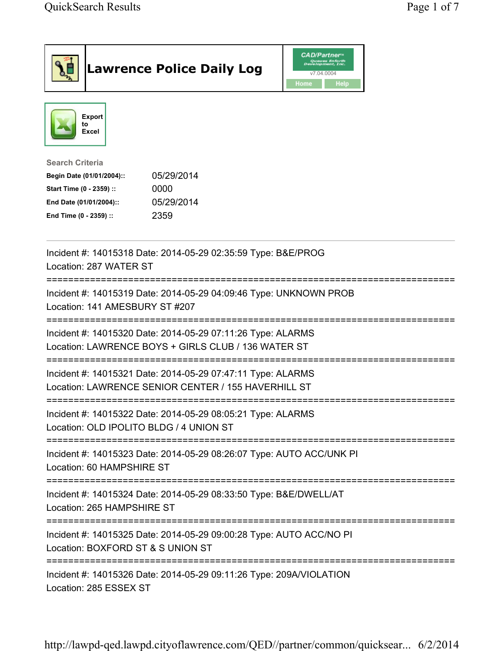|                                                                                                                                                  | <b>Lawrence Police Daily Log</b>                                                                                   | <b>CAD/Partner</b> "<br>Queues Enforth<br>Development, Inc.<br>v7.04.0004<br>Home<br>Help |  |
|--------------------------------------------------------------------------------------------------------------------------------------------------|--------------------------------------------------------------------------------------------------------------------|-------------------------------------------------------------------------------------------|--|
| <b>Export</b><br>to<br>Excel                                                                                                                     |                                                                                                                    |                                                                                           |  |
| <b>Search Criteria</b><br>Begin Date (01/01/2004)::<br>Start Time (0 - 2359) ::<br>End Date (01/01/2004)::<br>End Time (0 - 2359) ::             | 05/29/2014<br>0000<br>05/29/2014<br>2359                                                                           |                                                                                           |  |
| Location: 287 WATER ST                                                                                                                           | Incident #: 14015318 Date: 2014-05-29 02:35:59 Type: B&E/PROG                                                      |                                                                                           |  |
| Location: 141 AMESBURY ST #207                                                                                                                   | Incident #: 14015319 Date: 2014-05-29 04:09:46 Type: UNKNOWN PROB                                                  |                                                                                           |  |
|                                                                                                                                                  | Incident #: 14015320 Date: 2014-05-29 07:11:26 Type: ALARMS<br>Location: LAWRENCE BOYS + GIRLS CLUB / 136 WATER ST |                                                                                           |  |
|                                                                                                                                                  | Incident #: 14015321 Date: 2014-05-29 07:47:11 Type: ALARMS<br>Location: LAWRENCE SENIOR CENTER / 155 HAVERHILL ST |                                                                                           |  |
| Location: OLD IPOLITO BLDG / 4 UNION ST                                                                                                          | :==============<br>Incident #: 14015322 Date: 2014-05-29 08:05:21 Type: ALARMS                                     |                                                                                           |  |
| Incident #: 14015323 Date: 2014-05-29 08:26:07 Type: AUTO ACC/UNK PI<br>Location: 60 HAMPSHIRE ST                                                |                                                                                                                    |                                                                                           |  |
| Location: 265 HAMPSHIRE ST                                                                                                                       | Incident #: 14015324 Date: 2014-05-29 08:33:50 Type: B&E/DWELL/AT                                                  |                                                                                           |  |
| ====================================<br>Incident #: 14015325 Date: 2014-05-29 09:00:28 Type: AUTO ACC/NO PI<br>Location: BOXFORD ST & S UNION ST |                                                                                                                    |                                                                                           |  |
| Incident #: 14015326 Date: 2014-05-29 09:11:26 Type: 209A/VIOLATION                                                                              |                                                                                                                    |                                                                                           |  |

Location: 285 ESSEX ST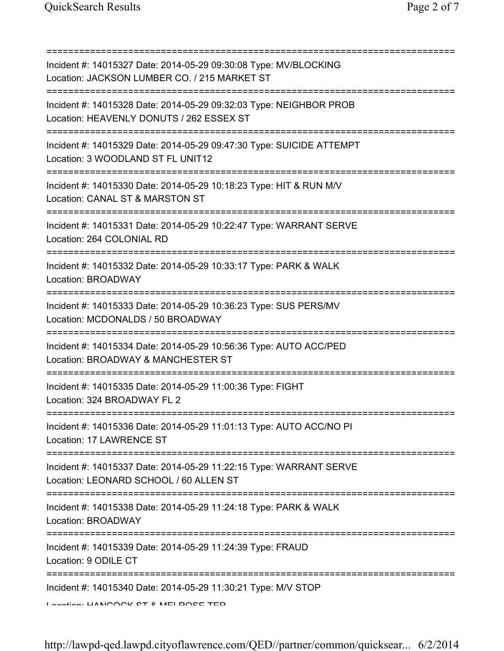=========================================================================== Incident #: 14015327 Date: 2014-05-29 09:30:08 Type: MV/BLOCKING Location: JACKSON LUMBER CO. / 215 MARKET ST =========================================================================== Incident #: 14015328 Date: 2014-05-29 09:32:03 Type: NEIGHBOR PROB Location: HEAVENLY DONUTS / 262 ESSEX ST =========================================================================== Incident #: 14015329 Date: 2014-05-29 09:47:30 Type: SUICIDE ATTEMPT Location: 3 WOODLAND ST FL UNIT12 =========================================================================== Incident #: 14015330 Date: 2014-05-29 10:18:23 Type: HIT & RUN M/V Location: CANAL ST & MARSTON ST =========================================================================== Incident #: 14015331 Date: 2014-05-29 10:22:47 Type: WARRANT SERVE Location: 264 COLONIAL RD =========================================================================== Incident #: 14015332 Date: 2014-05-29 10:33:17 Type: PARK & WALK Location: BROADWAY =========================================================================== Incident #: 14015333 Date: 2014-05-29 10:36:23 Type: SUS PERS/MV Location: MCDONALDS / 50 BROADWAY =========================================================================== Incident #: 14015334 Date: 2014-05-29 10:56:36 Type: AUTO ACC/PED Location: BROADWAY & MANCHESTER ST =========================================================================== Incident #: 14015335 Date: 2014-05-29 11:00:36 Type: FIGHT Location: 324 BROADWAY FL 2 =========================================================================== Incident #: 14015336 Date: 2014-05-29 11:01:13 Type: AUTO ACC/NO PI Location: 17 LAWRENCE ST =========================================================================== Incident #: 14015337 Date: 2014-05-29 11:22:15 Type: WARRANT SERVE Location: LEONARD SCHOOL / 60 ALLEN ST =========================================================================== Incident #: 14015338 Date: 2014-05-29 11:24:18 Type: PARK & WALK Location: BROADWAY =========================================================================== Incident #: 14015339 Date: 2014-05-29 11:24:39 Type: FRAUD Location: 9 ODILE CT =========================================================================== Incident #: 14015340 Date: 2014-05-29 11:30:21 Type: M/V STOP Location: HANCOCK ST & MELROSE TER

http://lawpd-qed.lawpd.cityoflawrence.com/QED//partner/common/quicksear... 6/2/2014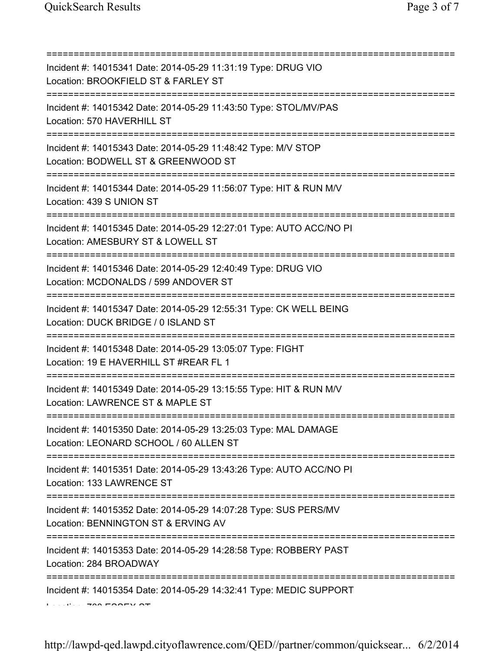| Incident #: 14015341 Date: 2014-05-29 11:31:19 Type: DRUG VIO<br>Location: BROOKFIELD ST & FARLEY ST                                 |
|--------------------------------------------------------------------------------------------------------------------------------------|
| Incident #: 14015342 Date: 2014-05-29 11:43:50 Type: STOL/MV/PAS<br>Location: 570 HAVERHILL ST                                       |
| Incident #: 14015343 Date: 2014-05-29 11:48:42 Type: M/V STOP<br>Location: BODWELL ST & GREENWOOD ST                                 |
| Incident #: 14015344 Date: 2014-05-29 11:56:07 Type: HIT & RUN M/V<br>Location: 439 S UNION ST<br>;================================= |
| Incident #: 14015345 Date: 2014-05-29 12:27:01 Type: AUTO ACC/NO PI<br>Location: AMESBURY ST & LOWELL ST                             |
| Incident #: 14015346 Date: 2014-05-29 12:40:49 Type: DRUG VIO<br>Location: MCDONALDS / 599 ANDOVER ST                                |
| Incident #: 14015347 Date: 2014-05-29 12:55:31 Type: CK WELL BEING<br>Location: DUCK BRIDGE / 0 ISLAND ST                            |
| Incident #: 14015348 Date: 2014-05-29 13:05:07 Type: FIGHT<br>Location: 19 E HAVERHILL ST #REAR FL 1                                 |
| Incident #: 14015349 Date: 2014-05-29 13:15:55 Type: HIT & RUN M/V<br>Location: LAWRENCE ST & MAPLE ST                               |
| Incident #: 14015350 Date: 2014-05-29 13:25:03 Type: MAL DAMAGE<br>Location: LEONARD SCHOOL / 60 ALLEN ST                            |
| Incident #: 14015351 Date: 2014-05-29 13:43:26 Type: AUTO ACC/NO PI<br>Location: 133 LAWRENCE ST                                     |
| Incident #: 14015352 Date: 2014-05-29 14:07:28 Type: SUS PERS/MV<br>Location: BENNINGTON ST & ERVING AV                              |
| Incident #: 14015353 Date: 2014-05-29 14:28:58 Type: ROBBERY PAST<br>Location: 284 BROADWAY                                          |
| Incident #: 14015354 Date: 2014-05-29 14:32:41 Type: MEDIC SUPPORT                                                                   |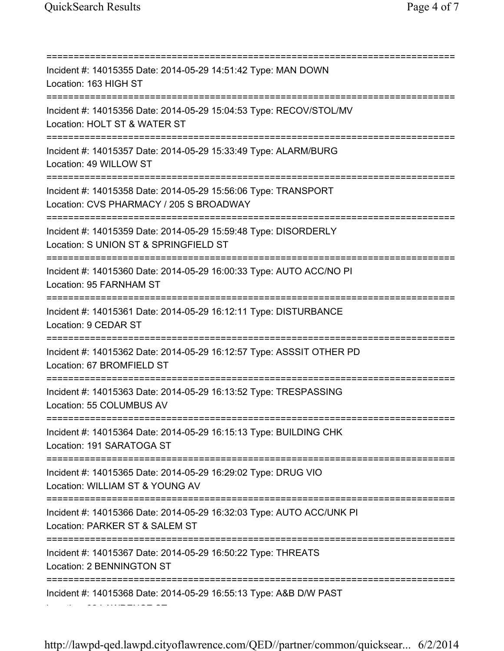Location: 32 LAWRENCE ST

=========================================================================== Incident #: 14015355 Date: 2014-05-29 14:51:42 Type: MAN DOWN Location: 163 HIGH ST =========================================================================== Incident #: 14015356 Date: 2014-05-29 15:04:53 Type: RECOV/STOL/MV Location: HOLT ST & WATER ST =========================================================================== Incident #: 14015357 Date: 2014-05-29 15:33:49 Type: ALARM/BURG Location: 49 WILLOW ST =========================================================================== Incident #: 14015358 Date: 2014-05-29 15:56:06 Type: TRANSPORT Location: CVS PHARMACY / 205 S BROADWAY =========================================================================== Incident #: 14015359 Date: 2014-05-29 15:59:48 Type: DISORDERLY Location: S UNION ST & SPRINGFIELD ST =========================================================================== Incident #: 14015360 Date: 2014-05-29 16:00:33 Type: AUTO ACC/NO PI Location: 95 FARNHAM ST =========================================================================== Incident #: 14015361 Date: 2014-05-29 16:12:11 Type: DISTURBANCE Location: 9 CEDAR ST =========================================================================== Incident #: 14015362 Date: 2014-05-29 16:12:57 Type: ASSSIT OTHER PD Location: 67 BROMFIELD ST =========================================================================== Incident #: 14015363 Date: 2014-05-29 16:13:52 Type: TRESPASSING Location: 55 COLUMBUS AV =========================================================================== Incident #: 14015364 Date: 2014-05-29 16:15:13 Type: BUILDING CHK Location: 191 SARATOGA ST =========================================================================== Incident #: 14015365 Date: 2014-05-29 16:29:02 Type: DRUG VIO Location: WILLIAM ST & YOUNG AV =========================================================================== Incident #: 14015366 Date: 2014-05-29 16:32:03 Type: AUTO ACC/UNK PI Location: PARKER ST & SALEM ST =========================================================================== Incident #: 14015367 Date: 2014-05-29 16:50:22 Type: THREATS Location: 2 BENNINGTON ST =========================================================================== Incident #: 14015368 Date: 2014-05-29 16:55:13 Type: A&B D/W PAST

http://lawpd-qed.lawpd.cityoflawrence.com/QED//partner/common/quicksear... 6/2/2014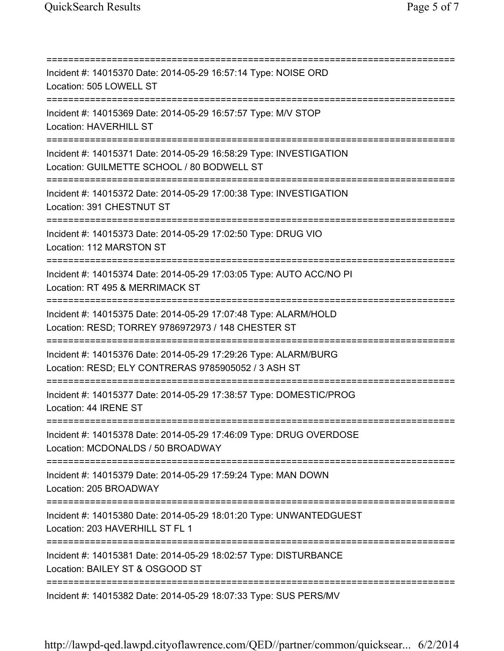| Incident #: 14015370 Date: 2014-05-29 16:57:14 Type: NOISE ORD<br>Location: 505 LOWELL ST                                                                  |
|------------------------------------------------------------------------------------------------------------------------------------------------------------|
| Incident #: 14015369 Date: 2014-05-29 16:57:57 Type: M/V STOP<br><b>Location: HAVERHILL ST</b><br>===================================                      |
| Incident #: 14015371 Date: 2014-05-29 16:58:29 Type: INVESTIGATION<br>Location: GUILMETTE SCHOOL / 80 BODWELL ST<br>====================================== |
| Incident #: 14015372 Date: 2014-05-29 17:00:38 Type: INVESTIGATION<br>Location: 391 CHESTNUT ST                                                            |
| Incident #: 14015373 Date: 2014-05-29 17:02:50 Type: DRUG VIO<br>Location: 112 MARSTON ST                                                                  |
| Incident #: 14015374 Date: 2014-05-29 17:03:05 Type: AUTO ACC/NO PI<br>Location: RT 495 & MERRIMACK ST                                                     |
| Incident #: 14015375 Date: 2014-05-29 17:07:48 Type: ALARM/HOLD<br>Location: RESD; TORREY 9786972973 / 148 CHESTER ST                                      |
| Incident #: 14015376 Date: 2014-05-29 17:29:26 Type: ALARM/BURG<br>Location: RESD; ELY CONTRERAS 9785905052 / 3 ASH ST                                     |
| Incident #: 14015377 Date: 2014-05-29 17:38:57 Type: DOMESTIC/PROG<br>Location: 44 IRENE ST                                                                |
| Incident #: 14015378 Date: 2014-05-29 17:46:09 Type: DRUG OVERDOSE<br>Location: MCDONALDS / 50 BROADWAY                                                    |
| Incident #: 14015379 Date: 2014-05-29 17:59:24 Type: MAN DOWN<br>Location: 205 BROADWAY                                                                    |
| Incident #: 14015380 Date: 2014-05-29 18:01:20 Type: UNWANTEDGUEST<br>Location: 203 HAVERHILL ST FL 1                                                      |
| Incident #: 14015381 Date: 2014-05-29 18:02:57 Type: DISTURBANCE<br>Location: BAILEY ST & OSGOOD ST                                                        |
| Incident #: 14015382 Date: 2014-05-29 18:07:33 Type: SUS PERS/MV                                                                                           |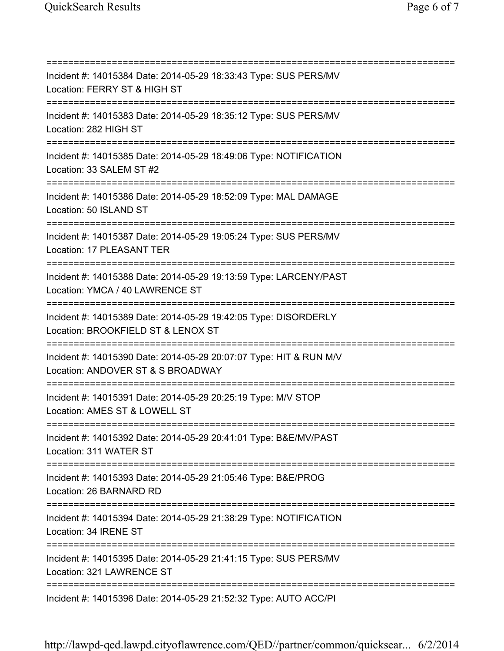=========================================================================== Incident #: 14015384 Date: 2014-05-29 18:33:43 Type: SUS PERS/MV Location: FERRY ST & HIGH ST =========================================================================== Incident #: 14015383 Date: 2014-05-29 18:35:12 Type: SUS PERS/MV Location: 282 HIGH ST =========================================================================== Incident #: 14015385 Date: 2014-05-29 18:49:06 Type: NOTIFICATION Location: 33 SALEM ST #2 =========================================================================== Incident #: 14015386 Date: 2014-05-29 18:52:09 Type: MAL DAMAGE Location: 50 ISLAND ST =========================================================================== Incident #: 14015387 Date: 2014-05-29 19:05:24 Type: SUS PERS/MV Location: 17 PLEASANT TER =========================================================================== Incident #: 14015388 Date: 2014-05-29 19:13:59 Type: LARCENY/PAST Location: YMCA / 40 LAWRENCE ST =========================================================================== Incident #: 14015389 Date: 2014-05-29 19:42:05 Type: DISORDERLY Location: BROOKFIELD ST & LENOX ST =========================================================================== Incident #: 14015390 Date: 2014-05-29 20:07:07 Type: HIT & RUN M/V Location: ANDOVER ST & S BROADWAY =========================================================================== Incident #: 14015391 Date: 2014-05-29 20:25:19 Type: M/V STOP Location: AMES ST & LOWELL ST =========================================================================== Incident #: 14015392 Date: 2014-05-29 20:41:01 Type: B&E/MV/PAST Location: 311 WATER ST =========================================================================== Incident #: 14015393 Date: 2014-05-29 21:05:46 Type: B&E/PROG Location: 26 BARNARD RD =========================================================================== Incident #: 14015394 Date: 2014-05-29 21:38:29 Type: NOTIFICATION Location: 34 IRENE ST =========================================================================== Incident #: 14015395 Date: 2014-05-29 21:41:15 Type: SUS PERS/MV Location: 321 LAWRENCE ST =========================================================================== Incident #: 14015396 Date: 2014-05-29 21:52:32 Type: AUTO ACC/PI

http://lawpd-qed.lawpd.cityoflawrence.com/QED//partner/common/quicksear... 6/2/2014